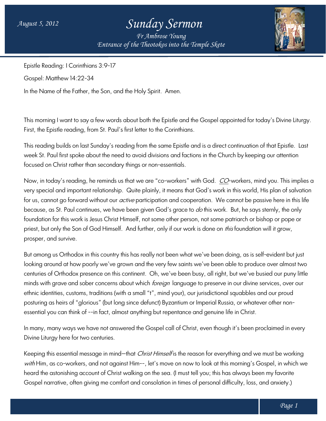## *Sunday Sermon*

*Entrance of the Theotokos Entrance of into the Temple Skete Fr Ambrose Young*



Epistle Reading: I Corinthians 3:9-17

Gospel: Matthew 14:22-34

In the Name of the Father, the Son, and the Holy Spirit. Amen.

This morning I want to say a few words about both the Epistle and the Gospel appointed for today's Divine Liturgy. First, the Epistle reading, from St. Paul's first letter to the Corinthians. This morning I want to say a tew words about both the Epistle and the Gospel appointed tor today's Divine Liturgy.<br>First, the Epistle reading, from St. Paul's first letter to the Corinthians.<br>This reading builds on last Su

week St. Paul first spoke about the need to avoid divisions and factions in the Church by keeping our attention<br>focused on Christ rather than secondary things or non-essentials. focused on Christ rather than secondary things or non

Now, in today's reading, he reminds us that we are "co-workers" with God. *CO*-workers, mind you. This implies a very special and important relationship. Quite plainly, it means that God's work in this world, His plan of salvation for us, cannot go forward without our *active* participation and cooperation. We cannot be passive here in this life because, as St. Paul continues, we have been given God's grace to *do* this work. But, he says sternly, the only foundation for this work is Jesus Christ Himself, not some other person, not some patriarch or bishop or pope or priest, but only the Son of God Himself. And further, only if our work is done on *this* foundation will it grow, prosper, and survive. workers, mind you. This implies<br>this world, His plan of salvatior<br>annot be passive here in this life

But among us Orthodox in this country this has really not been what we've been doing, as is self self-evident but just looking around at how poorly we've grown and the very few saints we've been able to produce over almost two But among us Orthodox in this country this has really not been what we've been doing, as is self-evident but just<br>looking around at how poorly we've grown and the very few saints we've been able to produce over almost two<br> minds with grave and sober concerns about which *foreign* language to preserve in our divine services, over our ethnic identities, customs, traditions (with a small "t", mind your), our jurisdictional squabbles and our proud posturing as heirs of "glorious" (but long since defunct) Byzantium or Imperial Russia, or whatever other non posturing as heirs of "glorious" (but long since defunct) Byzantium or Imperial Russia, or whatever other<br>essential you can think of --in fact, almost anything but repentance and genuine life in Christ. Oh, we've been busy, all right, but we've busied our puny<br>I *foreign* language to preserve in our divine services, over<br>t", mind your), our jurisdictional squabbles and our proud<br>unct) Byzantium or Imperial Russia, or what

In many, many ways we have not answered the Gospel call of Christ, even though it's been proclaimed in every Divine Liturgy here for two centuries. In many, many ways we have not answered the Gospel call of Christ, even though it's been proclaimed in every<br>Divine Liturgy here for two centuries.<br>Keeping this essential message in mind—that *Christ Himself* is the reason

with Him, as co-workers, and not against Him--, let's move on now to look at this morning's Gospel, in which we with Him, as co-workers, and not against Him--, let's move on now to look at this morning's Gospel, in which we<br>heard the astonishing account of Christ walking on the sea. (I must tell you; this has always been my favorite Gospel narrative, often giving me comfort and consolation in times of personal difficulty, loss, and anxiety.)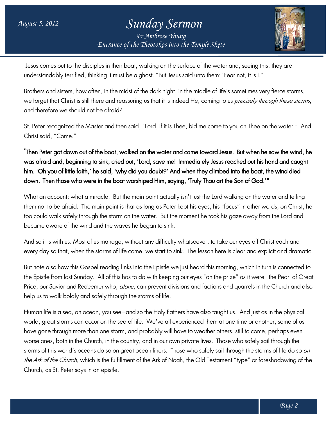## *Entrance of the Theotokos Entrance of into the Temple Skete Sunday Sermon Fr Ambrose Young*



Jesus comes out to the disciples in their boat, walking on the surface of the water and, seeing this, they are understandably terrified, thinking it must be a ghost. "But Jesus said unto them: 'Fear not, it is I."

Brothers and sisters, how often, in the midst of the dark night, in the middle of life's sometimes very fierce storms, Jesus comes out to the disciples in their boat, walking on the surface of the water and, seeing this, they are understandably terrified, thinking it must be a ghost. "But Jesus said unto them: 'Fear not, it is l."<br>Brothers and there<del>f</del>ore we should not be afraid?

St. Peter recognized the Master and then said, "Lord, if it is Thee, bid me come to you on Thee on the water."And Christ said, "Come." St. Peter recognized the Master and then said, "Lord, if it is Thee, bid me come to you on Thee on the water." And<br>Christ said, "Come."<br>**"Then Peter got down out of the boat, walked on the water and came toward Jesus. But** 

was afraid and, beginning to sink, cried out, 'Lord, save me! Immediately Jesus reached out his hand and caught him. 'Oh you of little faith,' he said, 'why did you doubt?' And when they climbed into the boat, the wind died down. Then those who were in the boat worshiped Him, saying, 'Truly Thou art the Son of God.'" r and came toward Jesus. But when he saw the wind, he<br>he! Immediately Jesus reached out his hand and caught<br>And when they climbed into the boat, the wind died<br>aying, 'Truly Thou art the Son of God.'"<br>hally isn't just the L

down. Then those who were in the boat worshiped Him, saying, 'Truly Thou art the Son of God.'"<br>What an account; what a miracle! But the main point actually isn't just the Lord walking on the water and telling them not to be atraid. The main point is that as long as Peter kept his eyes, his "tocus" in other words too could walk safely through the storm on the water. But the moment he took his gaze away from the Lord and l became aware of the wind and the waves he began to sink.

And so it is with us. Most of us manage, without any difficulty whatsoever, to take our eyes off Christ each and And so it is with us. Most of us manage, without any difficulty whatsoever, to take our eyes off Christ each and<br>every day so that, when the storms of life come, we start to sink. The lesson here is clear and explicit and

But note also how this Gospel reading links into the Epistle we just heard this morning, which in turn is connected to every day so that, when the storms of life come, we start to sink. The lesson here is clear and explicit and dramatic.<br>But note also how this Gospel reading links into the Epistle we just heard this morning, which in turn Price, our Savior and Redeemer who, *alone*, can prevent divisions and factions and quarrels in the Church and also help us to walk boldly and safely through the storms of life.

Human life is a sea, an ocean, you see—and so the Holy Fathers have also taught us. And just as in the physical world, great storms can occur on the sea of life. We've all experienced them at one time or another; some of us have gone through more than one storm, and probably will have to weather others, still to come, perhaps even ' worse ones, both in the Church, in the country, and in our own private lives. Those who safely sail through the storms of this world's oceans do so on great ocean liners. Those who safely sail through the storm *the Ark of the Church*, which is the fulfillment of the Ark of Noah, the Old Testament "type" or foreshadowing of the Church, as St. Peter says in an epistle. can prevent divisions and factions and quarrels in the Church and also<br>storms of life.<br>so the Holy Fathers have also taught us. And just as in the physical<br>fe. We've all experienced them at one time or another; some of us<br>